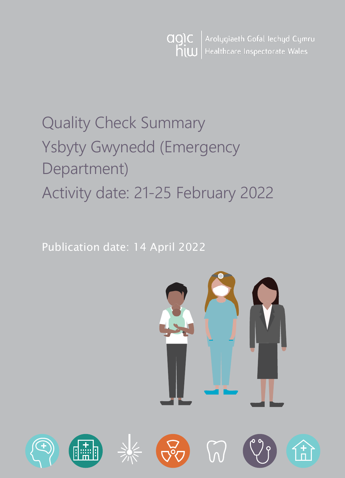

# Quality Check Summary Ysbyty Gwynedd (Emergency Department) Activity date: 21-25 February 2022

Publication date: 14 April 2022

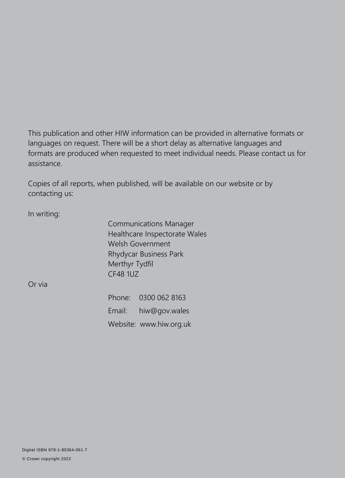This publication and other HIW information can be provided in alternative formats or languages on request. There will be a short delay as alternative languages and formats are produced when requested to meet individual needs. Please contact us for assistance.

Copies of all reports, when published, will be available on our website or by contacting us:

In writing:

Communications Manager Healthcare Inspectorate Wales Welsh Government Rhydycar Business Park Merthyr Tydfil CF48 1UZ

Or via

Phone: 0300 062 8163 Email: [hiw@gov.wales](mailto:hiw@gov.wales) Website: [www.hiw.org.uk](http://www.hiw.org.uk/)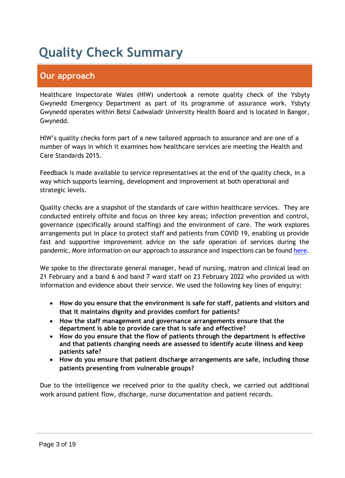# **Quality Check Summary**

### **Our approach**

Healthcare Inspectorate Wales (HIW) undertook a remote quality check of the Ysbyty Gwynedd Emergency Department as part of its programme of assurance work. Ysbyty Gwynedd operates within Betsi Cadwaladr University Health Board and is located in Bangor, Gwynedd.

HIW's quality checks form part of a new tailored approach to assurance and are one of a number of ways in which it examines how healthcare services are meeting the Health and Care Standards 2015.

Feedback is made available to service representatives at the end of the quality check, in a way which supports learning, development and improvement at both operational and strategic levels.

Quality checks are a snapshot of the standards of care within healthcare services. They are conducted entirely offsite and focus on three key areas; infection prevention and control, governance (specifically around staffing) and the environment of care. The work explores arrangements put in place to protect staff and patients from COVID 19, enabling us provide fast and supportive improvement advice on the safe operation of services during the pandemic. More information on our approach to assurance and inspections can be found [here.](https://hiw.org.uk/covid-19-response-and-our-approach-assurance-and-inspection)

We spoke to the directorate general manager, head of nursing, matron and clinical lead on 21 February and a band 6 and band 7 ward staff on 23 February 2022 who provided us with information and evidence about their service. We used the following key lines of enquiry:

- **How do you ensure that the environment is safe for staff, patients and visitors and that it maintains dignity and provides comfort for patients?**
- **How the staff management and governance arrangements ensure that the department is able to provide care that is safe and effective?**
- **How do you ensure that the flow of patients through the department is effective and that patients changing needs are assessed to identify acute illness and keep patients safe?**
- **How do you ensure that patient discharge arrangements are safe, including those patients presenting from vulnerable groups?**

Due to the intelligence we received prior to the quality check, we carried out additional work around patient flow, discharge, nurse documentation and patient records.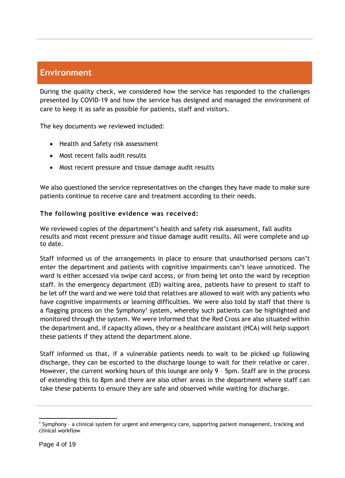### **Environment**

During the quality check, we considered how the service has responded to the challenges presented by COVID-19 and how the service has designed and managed the environment of care to keep it as safe as possible for patients, staff and visitors.

The key documents we reviewed included:

- Health and Safety risk assessment
- Most recent falls audit results
- Most recent pressure and tissue damage audit results

We also questioned the service representatives on the changes they have made to make sure patients continue to receive care and treatment according to their needs.

#### **The following positive evidence was received:**

We reviewed copies of the department's health and safety risk assessment, fall audits results and most recent pressure and tissue damage audit results. All were complete and up to date.

Staff informed us of the arrangements in place to ensure that unauthorised persons can't enter the department and patients with cognitive impairments can't leave unnoticed. The ward is either accessed via swipe card access, or from being let onto the ward by reception staff. In the emergency department (ED) waiting area, patients have to present to staff to be let off the ward and we were told that relatives are allowed to wait with any patients who have cognitive impairments or learning difficulties. We were also told by staff that there is a flagging process on the Symphony<sup>1</sup> system, whereby such patients can be highlighted and monitored through the system. We were informed that the Red Cross are also situated within the department and, if capacity allows, they or a healthcare assistant (HCA) will help support these patients if they attend the department alone.

Staff informed us that, if a vulnerable patients needs to wait to be picked up following discharge, they can be escorted to the discharge lounge to wait for their relative or carer. However, the current working hours of this lounge are only 9 – 5pm. Staff are in the process of extending this to 8pm and there are also other areas in the department where staff can take these patients to ensure they are safe and observed while waiting for discharge.

  $1$  Symphony - a clinical system for urgent and emergency care, supporting patient management, tracking and clinical workflow.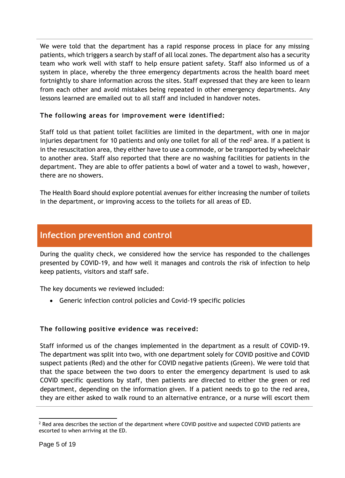We were told that the department has a rapid response process in place for any missing patients, which triggers a search by staff of all local zones. The department also has a security team who work well with staff to help ensure patient safety. Staff also informed us of a system in place, whereby the three emergency departments across the health board meet fortnightly to share information across the sites. Staff expressed that they are keen to learn from each other and avoid mistakes being repeated in other emergency departments. Any lessons learned are emailed out to all staff and included in handover notes.

#### **The following areas for improvement were identified:**

Staff told us that patient toilet facilities are limited in the department, with one in major injuries department for 10 patients and only one toilet for all of the red<sup>2</sup> area. If a patient is in the resuscitation area, they either have to use a commode, or be transported by wheelchair to another area. Staff also reported that there are no washing facilities for patients in the department. They are able to offer patients a bowl of water and a towel to wash, however, there are no showers.

The Health Board should explore potential avenues for either increasing the number of toilets in the department, or improving access to the toilets for all areas of ED.

### **Infection prevention and control**

During the quality check, we considered how the service has responded to the challenges presented by COVID-19, and how well it manages and controls the risk of infection to help keep patients, visitors and staff safe.

The key documents we reviewed included:

Generic infection control policies and Covid-19 specific policies

#### **The following positive evidence was received:**

Staff informed us of the changes implemented in the department as a result of COVID-19. The department was split into two, with one department solely for COVID positive and COVID suspect patients (Red) and the other for COVID negative patients (Green). We were told that that the space between the two doors to enter the emergency department is used to ask COVID specific questions by staff, then patients are directed to either the green or red department, depending on the information given. If a patient needs to go to the red area, they are either asked to walk round to an alternative entrance, or a nurse will escort them

  $2$  Red area describes the section of the department where COVID positive and suspected COVID patients are escorted to when arriving at the ED.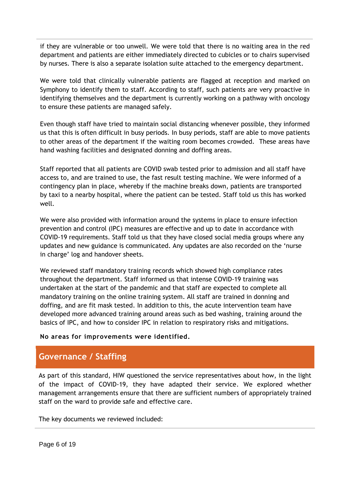if they are vulnerable or too unwell. We were told that there is no waiting area in the red department and patients are either immediately directed to cubicles or to chairs supervised by nurses. There is also a separate isolation suite attached to the emergency department.

We were told that clinically vulnerable patients are flagged at reception and marked on Symphony to identify them to staff. According to staff, such patients are very proactive in identifying themselves and the department is currently working on a pathway with oncology to ensure these patients are managed safely.

Even though staff have tried to maintain social distancing whenever possible, they informed us that this is often difficult in busy periods. In busy periods, staff are able to move patients to other areas of the department if the waiting room becomes crowded. These areas have hand washing facilities and designated donning and doffing areas.

Staff reported that all patients are COVID swab tested prior to admission and all staff have access to, and are trained to use, the fast result testing machine. We were informed of a contingency plan in place, whereby if the machine breaks down, patients are transported by taxi to a nearby hospital, where the patient can be tested. Staff told us this has worked well.

We were also provided with information around the systems in place to ensure infection prevention and control (IPC) measures are effective and up to date in accordance with COVID-19 requirements. Staff told us that they have closed social media groups where any updates and new guidance is communicated. Any updates are also recorded on the 'nurse in charge' log and handover sheets.

We reviewed staff mandatory training records which showed high compliance rates throughout the department. Staff informed us that intense COVID-19 training was undertaken at the start of the pandemic and that staff are expected to complete all mandatory training on the online training system. All staff are trained in donning and doffing, and are fit mask tested. In addition to this, the acute intervention team have developed more advanced training around areas such as bed washing, training around the basics of IPC, and how to consider IPC in relation to respiratory risks and mitigations.

#### **No areas for improvements were identified.**

### **Governance / Staffing**

As part of this standard, HIW questioned the service representatives about how, in the light of the impact of COVID-19, they have adapted their service. We explored whether management arrangements ensure that there are sufficient numbers of appropriately trained staff on the ward to provide safe and effective care.

The key documents we reviewed included: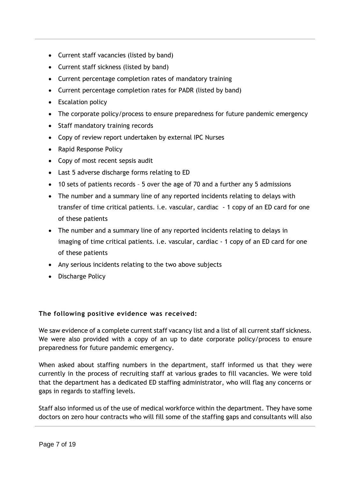- Current staff vacancies (listed by band)
- Current staff sickness (listed by band)
- Current percentage completion rates of mandatory training
- Current percentage completion rates for PADR (listed by band)
- Escalation policy
- The corporate policy/process to ensure preparedness for future pandemic emergency
- Staff mandatory training records
- Copy of review report undertaken by external IPC Nurses
- Rapid Response Policy
- Copy of most recent sepsis audit
- Last 5 adverse discharge forms relating to ED
- 10 sets of patients records 5 over the age of 70 and a further any 5 admissions
- The number and a summary line of any reported incidents relating to delays with transfer of time critical patients. i.e. vascular, cardiac - 1 copy of an ED card for one of these patients
- The number and a summary line of any reported incidents relating to delays in imaging of time critical patients. i.e. vascular, cardiac - 1 copy of an ED card for one of these patients
- Any serious incidents relating to the two above subjects
- Discharge Policy

#### **The following positive evidence was received:**

We saw evidence of a complete current staff vacancy list and a list of all current staff sickness. We were also provided with a copy of an up to date corporate policy/process to ensure preparedness for future pandemic emergency.

When asked about staffing numbers in the department, staff informed us that they were currently in the process of recruiting staff at various grades to fill vacancies. We were told that the department has a dedicated ED staffing administrator, who will flag any concerns or gaps in regards to staffing levels.

Staff also informed us of the use of medical workforce within the department. They have some doctors on zero hour contracts who will fill some of the staffing gaps and consultants will also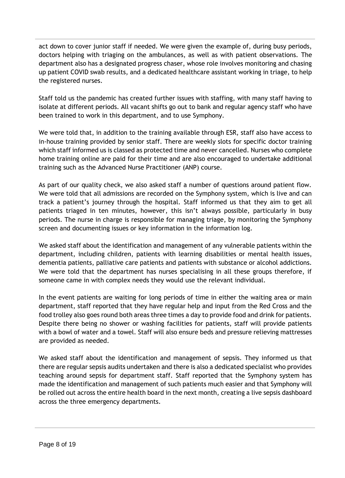act down to cover junior staff if needed. We were given the example of, during busy periods, doctors helping with triaging on the ambulances, as well as with patient observations. The department also has a designated progress chaser, whose role involves monitoring and chasing up patient COVID swab results, and a dedicated healthcare assistant working in triage, to help the registered nurses.

Staff told us the pandemic has created further issues with staffing, with many staff having to isolate at different periods. All vacant shifts go out to bank and regular agency staff who have been trained to work in this department, and to use Symphony.

We were told that, in addition to the training available through ESR, staff also have access to in-house training provided by senior staff. There are weekly slots for specific doctor training which staff informed us is classed as protected time and never cancelled. Nurses who complete home training online are paid for their time and are also encouraged to undertake additional training such as the Advanced Nurse Practitioner (ANP) course.

As part of our quality check, we also asked staff a number of questions around patient flow. We were told that all admissions are recorded on the Symphony system, which is live and can track a patient's journey through the hospital. Staff informed us that they aim to get all patients triaged in ten minutes, however, this isn't always possible, particularly in busy periods. The nurse in charge is responsible for managing triage, by monitoring the Symphony screen and documenting issues or key information in the information log.

We asked staff about the identification and management of any vulnerable patients within the department, including children, patients with learning disabilities or mental health issues, dementia patients, palliative care patients and patients with substance or alcohol addictions. We were told that the department has nurses specialising in all these groups therefore, if someone came in with complex needs they would use the relevant individual.

In the event patients are waiting for long periods of time in either the waiting area or main department, staff reported that they have regular help and input from the Red Cross and the food trolley also goes round both areas three times a day to provide food and drink for patients. Despite there being no shower or washing facilities for patients, staff will provide patients with a bowl of water and a towel. Staff will also ensure beds and pressure relieving mattresses are provided as needed.

We asked staff about the identification and management of sepsis. They informed us that there are regular sepsis audits undertaken and there is also a dedicated specialist who provides teaching around sepsis for department staff. Staff reported that the Symphony system has made the identification and management of such patients much easier and that Symphony will be rolled out across the entire health board in the next month, creating a live sepsis dashboard across the three emergency departments.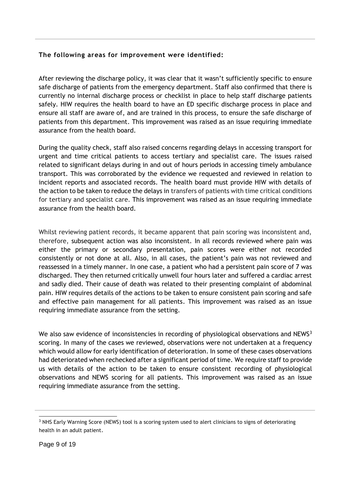#### **The following areas for improvement were identified:**

After reviewing the discharge policy, it was clear that it wasn't sufficiently specific to ensure safe discharge of patients from the emergency department. Staff also confirmed that there is currently no internal discharge process or checklist in place to help staff discharge patients safely. HIW requires the health board to have an ED specific discharge process in place and ensure all staff are aware of, and are trained in this process, to ensure the safe discharge of patients from this department. This improvement was raised as an issue requiring immediate assurance from the health board.

During the quality check, staff also raised concerns regarding delays in accessing transport for urgent and time critical patients to access tertiary and specialist care. The issues raised related to significant delays during in and out of hours periods in accessing timely ambulance transport. This was corroborated by the evidence we requested and reviewed in relation to incident reports and associated records. The health board must provide HIW with details of the action to be taken to reduce the delays in transfers of patients with time critical conditions for tertiary and specialist care. This improvement was raised as an issue requiring immediate assurance from the health board.

Whilst reviewing patient records, it became apparent that pain scoring was inconsistent and, therefore, subsequent action was also inconsistent. In all records reviewed where pain was either the primary or secondary presentation, pain scores were either not recorded consistently or not done at all. Also, in all cases, the patient's pain was not reviewed and reassessed in a timely manner. In one case, a patient who had a persistent pain score of 7 was discharged. They then returned critically unwell four hours later and suffered a cardiac arrest and sadly died. Their cause of death was related to their presenting complaint of abdominal pain. HIW requires details of the actions to be taken to ensure consistent pain scoring and safe and effective pain management for all patients. This improvement was raised as an issue requiring immediate assurance from the setting.

We also saw evidence of inconsistencies in recording of physiological observations and NEWS<sup>3</sup> scoring. In many of the cases we reviewed, observations were not undertaken at a frequency which would allow for early identification of deterioration. In some of these cases observations had deteriorated when rechecked after a significant period of time. We require staff to provide us with details of the action to be taken to ensure consistent recording of physiological observations and NEWS scoring for all patients. This improvement was raised as an issue requiring immediate assurance from the setting.

<sup>&</sup>lt;sup>3</sup> NHS Early Warning Score (NEWS) tool is a scoring system used to alert clinicians to signs of deteriorating health in an adult patient.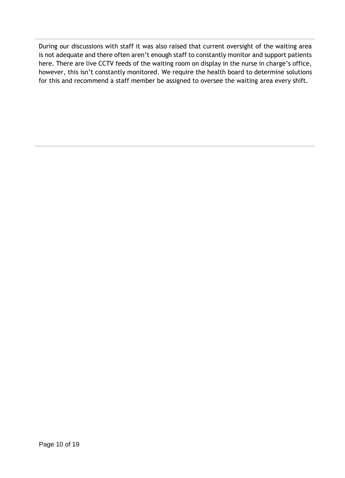During our discussions with staff it was also raised that current oversight of the waiting area is not adequate and there often aren't enough staff to constantly monitor and support patients here. There are live CCTV feeds of the waiting room on display in the nurse in charge's office, however, this isn't constantly monitored. We require the health board to determine solutions for this and recommend a staff member be assigned to oversee the waiting area every shift.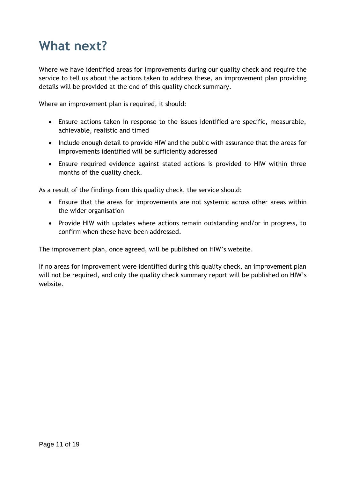# **What next?**

Where we have identified areas for improvements during our quality check and require the service to tell us about the actions taken to address these, an improvement plan providing details will be provided at the end of this quality check summary.

Where an improvement plan is required, it should:

- Ensure actions taken in response to the issues identified are specific, measurable, achievable, realistic and timed
- Include enough detail to provide HIW and the public with assurance that the areas for improvements identified will be sufficiently addressed
- Ensure required evidence against stated actions is provided to HIW within three months of the quality check.

As a result of the findings from this quality check, the service should:

- Ensure that the areas for improvements are not systemic across other areas within the wider organisation
- Provide HIW with updates where actions remain outstanding and/or in progress, to confirm when these have been addressed.

The improvement plan, once agreed, will be published on HIW's website.

If no areas for improvement were identified during this quality check, an improvement plan will not be required, and only the quality check summary report will be published on HIW's website.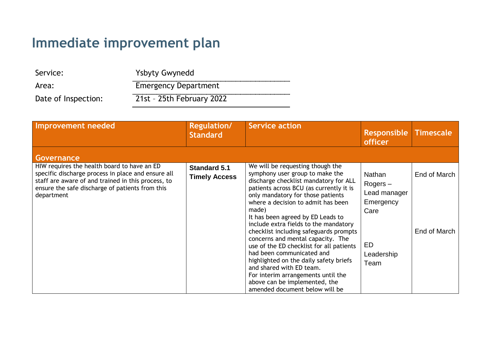# **Immediate improvement plan**

| Service:            | <b>Ysbyty Gwynedd</b>       |
|---------------------|-----------------------------|
| Area:               | <b>Emergency Department</b> |
| Date of Inspection: | 21st - 25th February 2022   |

| Improvement needed                                                                                                                                                                                                       | <b>Regulation/</b><br><b>Standard</b>       | <b>Service action</b>                                                                                                                                                                                                                                                                                                                                                                                                                                                                                                                                                                                                                                            | <b>Responsible</b><br><b>officer</b>                                                  | <b>Timescale</b>             |
|--------------------------------------------------------------------------------------------------------------------------------------------------------------------------------------------------------------------------|---------------------------------------------|------------------------------------------------------------------------------------------------------------------------------------------------------------------------------------------------------------------------------------------------------------------------------------------------------------------------------------------------------------------------------------------------------------------------------------------------------------------------------------------------------------------------------------------------------------------------------------------------------------------------------------------------------------------|---------------------------------------------------------------------------------------|------------------------------|
| Governance                                                                                                                                                                                                               |                                             |                                                                                                                                                                                                                                                                                                                                                                                                                                                                                                                                                                                                                                                                  |                                                                                       |                              |
| HIW requires the health board to have an ED<br>specific discharge process in place and ensure all<br>staff are aware of and trained in this process, to<br>ensure the safe discharge of patients from this<br>department | <b>Standard 5.1</b><br><b>Timely Access</b> | We will be requesting though the<br>symphony user group to make the<br>discharge checklist mandatory for ALL<br>patients across BCU (as currently it is<br>only mandatory for those patients<br>where a decision to admit has been<br>made)<br>It has been agreed by ED Leads to<br>include extra fields to the mandatory<br>checklist including safeguards prompts<br>concerns and mental capacity. The<br>use of the ED checklist for all patients<br>had been communicated and<br>highlighted on the daily safety briefs<br>and shared with ED team.<br>For interim arrangements until the<br>above can be implemented, the<br>amended document below will be | Nathan<br>$Rogers -$<br>Lead manager<br>Emergency<br>Care<br>ED<br>Leadership<br>Team | End of March<br>End of March |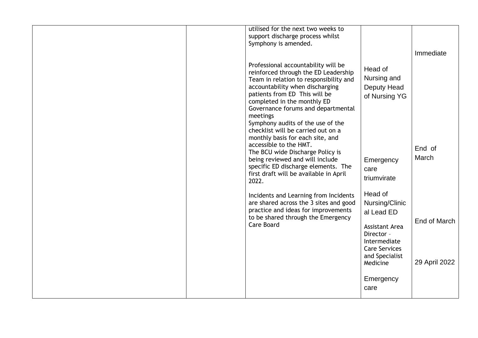|  | utilised for the next two weeks to<br>support discharge process whilst                                                                                                                                                                                                                                                                                                                    |                                                                                                                                                      |                               |
|--|-------------------------------------------------------------------------------------------------------------------------------------------------------------------------------------------------------------------------------------------------------------------------------------------------------------------------------------------------------------------------------------------|------------------------------------------------------------------------------------------------------------------------------------------------------|-------------------------------|
|  | Symphony is amended.                                                                                                                                                                                                                                                                                                                                                                      |                                                                                                                                                      | Immediate                     |
|  | Professional accountability will be<br>reinforced through the ED Leadership<br>Team in relation to responsibility and<br>accountability when discharging<br>patients from ED This will be<br>completed in the monthly ED<br>Governance forums and departmental<br>meetings<br>Symphony audits of the use of the<br>checklist will be carried out on a<br>monthly basis for each site, and | Head of<br>Nursing and<br>Deputy Head<br>of Nursing YG                                                                                               |                               |
|  | accessible to the HMT.<br>The BCU wide Discharge Policy is<br>being reviewed and will include<br>specific ED discharge elements. The<br>first draft will be available in April<br>2022.                                                                                                                                                                                                   | Emergency<br>care<br>triumvirate                                                                                                                     | End of<br>March               |
|  | Incidents and Learning from Incidents<br>are shared across the 3 sites and good<br>practice and ideas for improvements<br>to be shared through the Emergency<br><b>Care Board</b>                                                                                                                                                                                                         | Head of<br>Nursing/Clinic<br>al Lead ED<br><b>Assistant Area</b><br>Director -<br>Intermediate<br><b>Care Services</b><br>and Specialist<br>Medicine | End of March<br>29 April 2022 |
|  |                                                                                                                                                                                                                                                                                                                                                                                           | Emergency<br>care                                                                                                                                    |                               |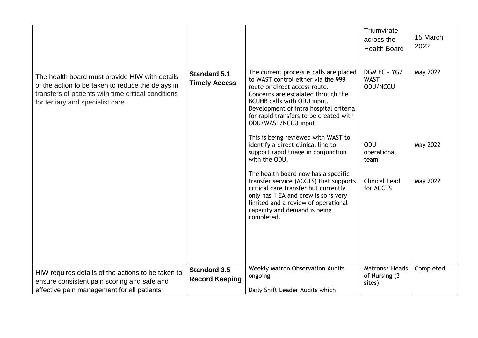|                                                                                                                                                                                                |                                              |                                                                                                                                                                                                                                                                                                                                                                                                                                                                                                                                                                                                                                                                                           | Triumvirate<br>across the<br><b>Health Board</b>                                                           | 15 March<br>2022                        |
|------------------------------------------------------------------------------------------------------------------------------------------------------------------------------------------------|----------------------------------------------|-------------------------------------------------------------------------------------------------------------------------------------------------------------------------------------------------------------------------------------------------------------------------------------------------------------------------------------------------------------------------------------------------------------------------------------------------------------------------------------------------------------------------------------------------------------------------------------------------------------------------------------------------------------------------------------------|------------------------------------------------------------------------------------------------------------|-----------------------------------------|
| The health board must provide HIW with details<br>of the action to be taken to reduce the delays in<br>transfers of patients with time critical conditions<br>for tertiary and specialist care | <b>Standard 5.1</b><br><b>Timely Access</b>  | The current process is calls are placed<br>to WAST control either via the 999<br>route or direct access route.<br>Concerns are escalated through the<br>BCUHB calls with ODU input.<br>Development of intra hospital criteria<br>for rapid transfers to be created with<br>ODU/WAST/NCCU input<br>This is being reviewed with WAST to<br>identify a direct clinical line to<br>support rapid triage in conjunction<br>with the ODU.<br>The health board now has a specific<br>transfer service (ACCTS) that supports<br>critical care transfer but currently<br>only has 1 EA and crew is so is very<br>limited and a review of operational<br>capacity and demand is being<br>completed. | DGM EC - YG/<br><b>WAST</b><br>ODU/NCCU<br>ODU<br>operational<br>team<br><b>Clinical Lead</b><br>for ACCTS | <b>May 2022</b><br>May 2022<br>May 2022 |
|                                                                                                                                                                                                |                                              |                                                                                                                                                                                                                                                                                                                                                                                                                                                                                                                                                                                                                                                                                           |                                                                                                            |                                         |
| HIW requires details of the actions to be taken to<br>ensure consistent pain scoring and safe and<br>effective pain management for all patients                                                | <b>Standard 3.5</b><br><b>Record Keeping</b> | <b>Weekly Matron Observation Audits</b><br>ongoing<br>Daily Shift Leader Audits which                                                                                                                                                                                                                                                                                                                                                                                                                                                                                                                                                                                                     | Matrons/Heads<br>of Nursing (3<br>sites)                                                                   | Completed                               |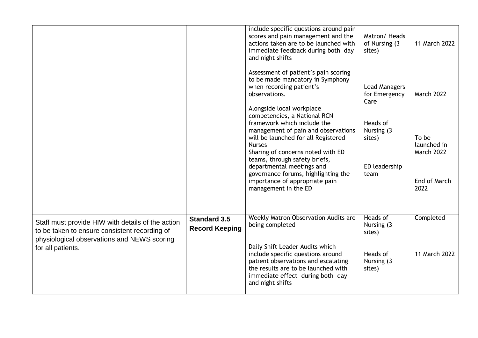|                                              | include specific questions around pain<br>scores and pain management and the<br>actions taken are to be launched with<br>immediate feedback during both day<br>and night shifts                                                  | Matron/Heads<br>of Nursing (3<br>sites) | 11 March 2022                             |
|----------------------------------------------|----------------------------------------------------------------------------------------------------------------------------------------------------------------------------------------------------------------------------------|-----------------------------------------|-------------------------------------------|
|                                              | Assessment of patient's pain scoring<br>to be made mandatory in Symphony<br>when recording patient's<br>observations.                                                                                                            | Lead Managers<br>for Emergency<br>Care  | March 2022                                |
|                                              | competencies, a National RCN<br>framework which include the<br>management of pain and observations<br>will be launched for all Registered<br><b>Nurses</b><br>Sharing of concerns noted with ED<br>teams, through safety briefs, | Heads of<br>Nursing (3<br>sites)        | To be<br>launched in<br><b>March 2022</b> |
|                                              | departmental meetings and<br>governance forums, highlighting the<br>importance of appropriate pain<br>management in the ED                                                                                                       | ED leadership<br>team                   | End of March<br>2022                      |
| <b>Standard 3.5</b><br><b>Record Keeping</b> | Weekly Matron Observation Audits are<br>being completed                                                                                                                                                                          | Heads of<br>Nursing (3)<br>sites)       | Completed                                 |
|                                              | Daily Shift Leader Audits which<br>include specific questions around<br>patient observations and escalating<br>the results are to be launched with<br>immediate effect during both day<br>and night shifts                       | Heads of<br>Nursing (3)<br>sites)       | 11 March 2022                             |
|                                              |                                                                                                                                                                                                                                  | Alongside local workplace               |                                           |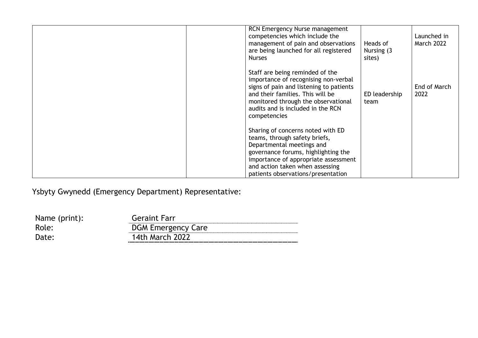| RCN Emergency Nurse management<br>competencies which include the<br>management of pain and observations<br>are being launched for all registered<br><b>Nurses</b>                                                                                       | Heads of<br>Nursing (3)<br>sites) | Launched in<br><b>March 2022</b> |
|---------------------------------------------------------------------------------------------------------------------------------------------------------------------------------------------------------------------------------------------------------|-----------------------------------|----------------------------------|
| Staff are being reminded of the<br>importance of recognising non-verbal<br>signs of pain and listening to patients<br>and their families. This will be<br>monitored through the observational<br>audits and is included in the RCN<br>competencies      | ED leadership<br>team             | End of March<br>2022             |
| Sharing of concerns noted with ED<br>teams, through safety briefs,<br>Departmental meetings and<br>governance forums, highlighting the<br>importance of appropriate assessment<br>and action taken when assessing<br>patients observations/presentation |                                   |                                  |

Ysbyty Gwynedd (Emergency Department) Representative:

| Name (print): | <b>Geraint Farr</b>       |
|---------------|---------------------------|
| Role:         | <b>DGM Emergency Care</b> |
| Date:         | <b>14th March 2022</b>    |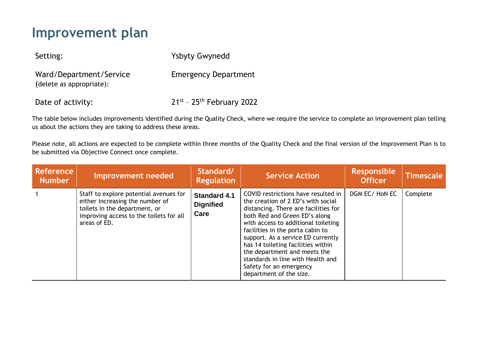## **Improvement plan**

Setting: Ysbyty Gwynedd

Ward/Department/Service (delete as appropriate):

Emergency Department

Date of activity:  $21^{st}$  -  $25^{th}$  February 2022

The table below includes improvements identified during the Quality Check, where we require the service to complete an improvement plan telling us about the actions they are taking to address these areas.

Please note, all actions are expected to be complete within three months of the Quality Check and the final version of the Improvement Plan is to be submitted via Objective Connect once complete.

| <b>Reference</b><br><b>Number</b> | <b>Improvement needed</b>                                                                                                                                             | Standard/<br><b>Regulation</b>                  | <b>Service Action</b>                                                                                                                                                                                                                                                                                                                                                                                                                | <b>Responsible</b><br><b>Officer</b> | <b>Timescale</b> |
|-----------------------------------|-----------------------------------------------------------------------------------------------------------------------------------------------------------------------|-------------------------------------------------|--------------------------------------------------------------------------------------------------------------------------------------------------------------------------------------------------------------------------------------------------------------------------------------------------------------------------------------------------------------------------------------------------------------------------------------|--------------------------------------|------------------|
|                                   | Staff to explore potential avenues for<br>either increasing the number of<br>toilets in the department, or<br>improving access to the toilets for all<br>areas of ED. | <b>Standard 4.1</b><br><b>Dignified</b><br>Care | COVID restrictions have resulted in<br>the creation of 2 ED's with social<br>distancing. There are facilities for<br>both Red and Green ED's along<br>with access to additional toileting<br>facilities in the porta cabin to<br>support. As a service ED currently<br>has 14 toileting facilities within<br>the department and meets the<br>standards in line with Health and<br>Safety for an emergency<br>department of the size. | DGM EC/HON EC                        | Complete         |